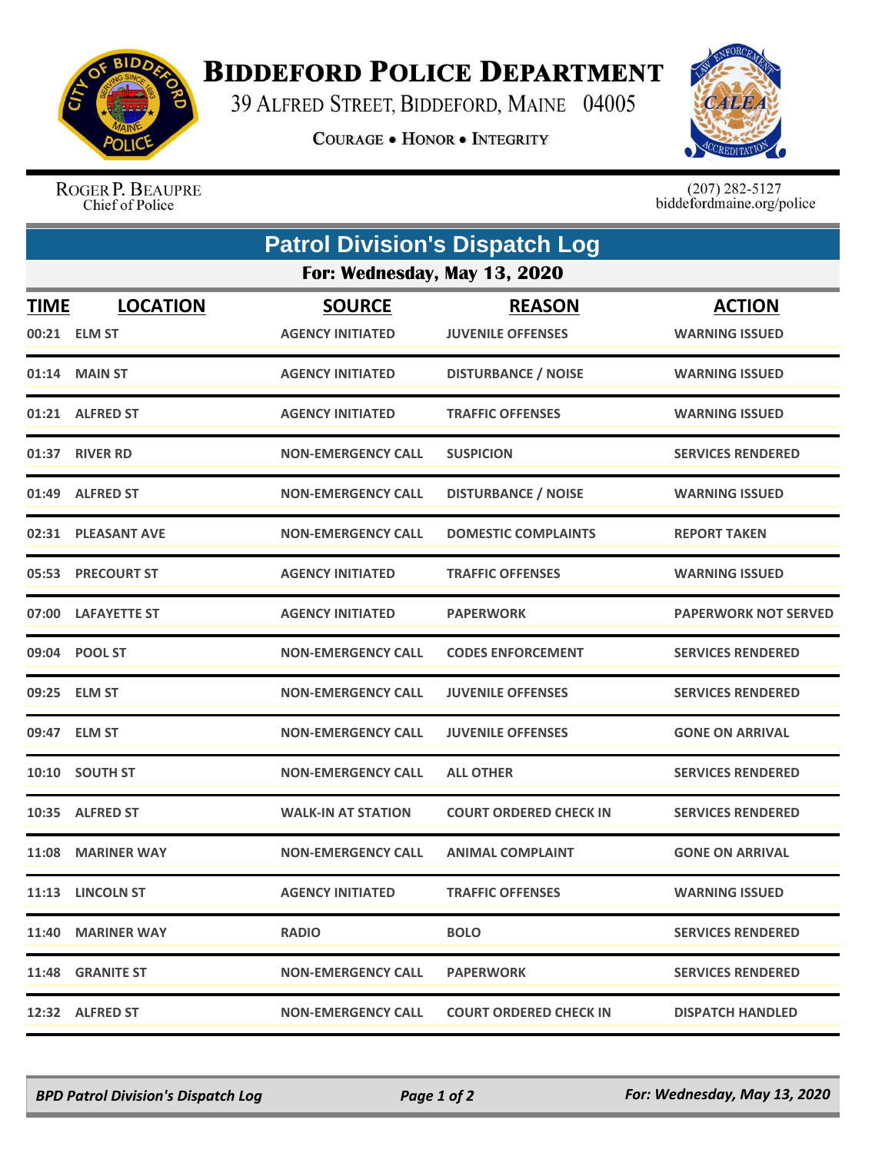

## **BIDDEFORD POLICE DEPARTMENT**

39 ALFRED STREET, BIDDEFORD, MAINE 04005

**COURAGE . HONOR . INTEGRITY** 



ROGER P. BEAUPRE Chief of Police

 $(207)$  282-5127<br>biddefordmaine.org/police

| <b>Patrol Division's Dispatch Log</b><br>For: Wednesday, May 13, 2020 |                     |                           |                               |                             |  |  |
|-----------------------------------------------------------------------|---------------------|---------------------------|-------------------------------|-----------------------------|--|--|
|                                                                       |                     |                           |                               |                             |  |  |
|                                                                       | 01:14 MAIN ST       | <b>AGENCY INITIATED</b>   | <b>DISTURBANCE / NOISE</b>    | <b>WARNING ISSUED</b>       |  |  |
|                                                                       | 01:21 ALFRED ST     | <b>AGENCY INITIATED</b>   | <b>TRAFFIC OFFENSES</b>       | <b>WARNING ISSUED</b>       |  |  |
|                                                                       | 01:37 RIVER RD      | <b>NON-EMERGENCY CALL</b> | <b>SUSPICION</b>              | <b>SERVICES RENDERED</b>    |  |  |
|                                                                       | 01:49 ALFRED ST     | <b>NON-EMERGENCY CALL</b> | <b>DISTURBANCE / NOISE</b>    | <b>WARNING ISSUED</b>       |  |  |
|                                                                       | 02:31 PLEASANT AVE  | <b>NON-EMERGENCY CALL</b> | <b>DOMESTIC COMPLAINTS</b>    | <b>REPORT TAKEN</b>         |  |  |
|                                                                       | 05:53 PRECOURT ST   | <b>AGENCY INITIATED</b>   | <b>TRAFFIC OFFENSES</b>       | <b>WARNING ISSUED</b>       |  |  |
| 07:00                                                                 | <b>LAFAYETTE ST</b> | <b>AGENCY INITIATED</b>   | <b>PAPERWORK</b>              | <b>PAPERWORK NOT SERVED</b> |  |  |
|                                                                       | 09:04 POOL ST       | <b>NON-EMERGENCY CALL</b> | <b>CODES ENFORCEMENT</b>      | <b>SERVICES RENDERED</b>    |  |  |
|                                                                       | 09:25 ELM ST        | <b>NON-EMERGENCY CALL</b> | <b>JUVENILE OFFENSES</b>      | <b>SERVICES RENDERED</b>    |  |  |
|                                                                       | 09:47 ELM ST        | <b>NON-EMERGENCY CALL</b> | <b>JUVENILE OFFENSES</b>      | <b>GONE ON ARRIVAL</b>      |  |  |
|                                                                       | 10:10 SOUTH ST      | <b>NON-EMERGENCY CALL</b> | <b>ALL OTHER</b>              | <b>SERVICES RENDERED</b>    |  |  |
|                                                                       | 10:35 ALFRED ST     | <b>WALK-IN AT STATION</b> | <b>COURT ORDERED CHECK IN</b> | <b>SERVICES RENDERED</b>    |  |  |
| 11:08                                                                 | <b>MARINER WAY</b>  | <b>NON-EMERGENCY CALL</b> | <b>ANIMAL COMPLAINT</b>       | <b>GONE ON ARRIVAL</b>      |  |  |
|                                                                       | 11:13 LINCOLN ST    | <b>AGENCY INITIATED</b>   | <b>TRAFFIC OFFENSES</b>       | <b>WARNING ISSUED</b>       |  |  |
|                                                                       | 11:40 MARINER WAY   | <b>RADIO</b>              | <b>BOLO</b>                   | <b>SERVICES RENDERED</b>    |  |  |
|                                                                       | 11:48 GRANITE ST    | <b>NON-EMERGENCY CALL</b> | <b>PAPERWORK</b>              | <b>SERVICES RENDERED</b>    |  |  |
|                                                                       | 12:32 ALFRED ST     | <b>NON-EMERGENCY CALL</b> | <b>COURT ORDERED CHECK IN</b> | <b>DISPATCH HANDLED</b>     |  |  |